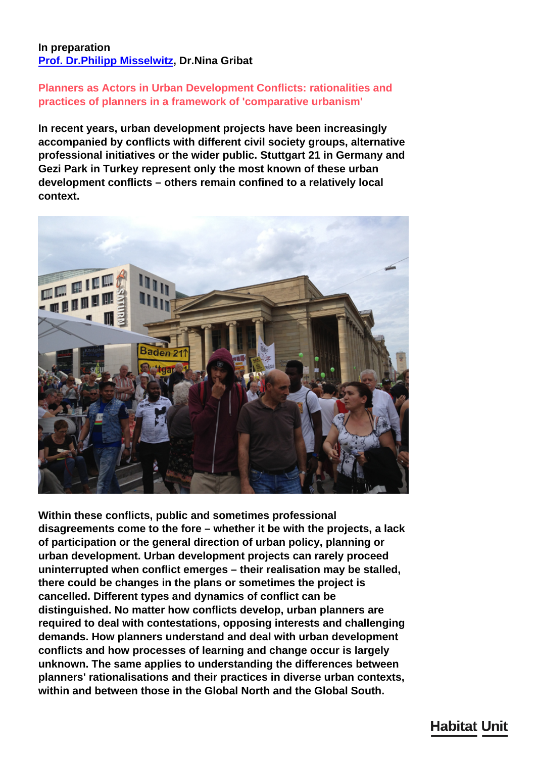## **In preparation [Prof. Dr.Philipp Misselwitz,](/en/team/philipp-misselwitz/) Dr.Nina Gribat**

## **Planners as Actors in Urban Development Conflicts: rationalities and practices of planners in a framework of 'comparative urbanism'**

**In recent years, urban development projects have been increasingly accompanied by conflicts with different civil society groups, alternative professional initiatives or the wider public. Stuttgart 21 in Germany and Gezi Park in Turkey represent only the most known of these urban development conflicts – others remain confined to a relatively local context.**



**Within these conflicts, public and sometimes professional disagreements come to the fore – whether it be with the projects, a lack of participation or the general direction of urban policy, planning or urban development. Urban development projects can rarely proceed uninterrupted when conflict emerges – their realisation may be stalled, there could be changes in the plans or sometimes the project is cancelled. Different types and dynamics of conflict can be distinguished. No matter how conflicts develop, urban planners are required to deal with contestations, opposing interests and challenging demands. How planners understand and deal with urban development conflicts and how processes of learning and change occur is largely unknown. The same applies to understanding the differences between planners' rationalisations and their practices in diverse urban contexts, within and between those in the Global North and the Global South.**

## **Habitat Unit**